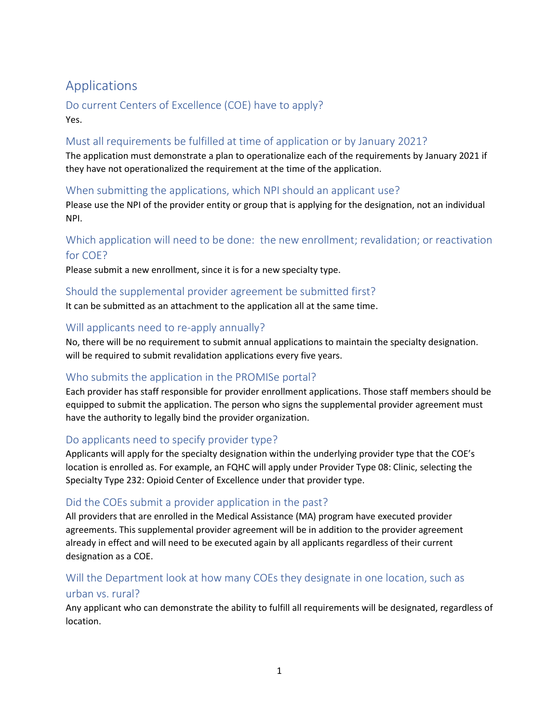# Applications

Do current Centers of Excellence (COE) have to apply? Yes.

#### Must all requirements be fulfilled at time of application or by January 2021?

The application must demonstrate a plan to operationalize each of the requirements by January 2021 if they have not operationalized the requirement at the time of the application.

#### When submitting the applications, which NPI should an applicant use?

Please use the NPI of the provider entity or group that is applying for the designation, not an individual NPI.

### Which application will need to be done: the new enrollment; revalidation; or reactivation for COE?

Please submit a new enrollment, since it is for a new specialty type.

#### Should the supplemental provider agreement be submitted first?

It can be submitted as an attachment to the application all at the same time.

#### Will applicants need to re-apply annually?

No, there will be no requirement to submit annual applications to maintain the specialty designation. will be required to submit revalidation applications every five years.

#### Who submits the application in the PROMISe portal?

Each provider has staff responsible for provider enrollment applications. Those staff members should be equipped to submit the application. The person who signs the supplemental provider agreement must have the authority to legally bind the provider organization.

#### Do applicants need to specify provider type?

Applicants will apply for the specialty designation within the underlying provider type that the COE's location is enrolled as. For example, an FQHC will apply under Provider Type 08: Clinic, selecting the Specialty Type 232: Opioid Center of Excellence under that provider type.

#### Did the COEs submit a provider application in the past?

All providers that are enrolled in the Medical Assistance (MA) program have executed provider agreements. This supplemental provider agreement will be in addition to the provider agreement already in effect and will need to be executed again by all applicants regardless of their current designation as a COE.

### Will the Department look at how many COEs they designate in one location, such as urban vs. rural?

Any applicant who can demonstrate the ability to fulfill all requirements will be designated, regardless of location.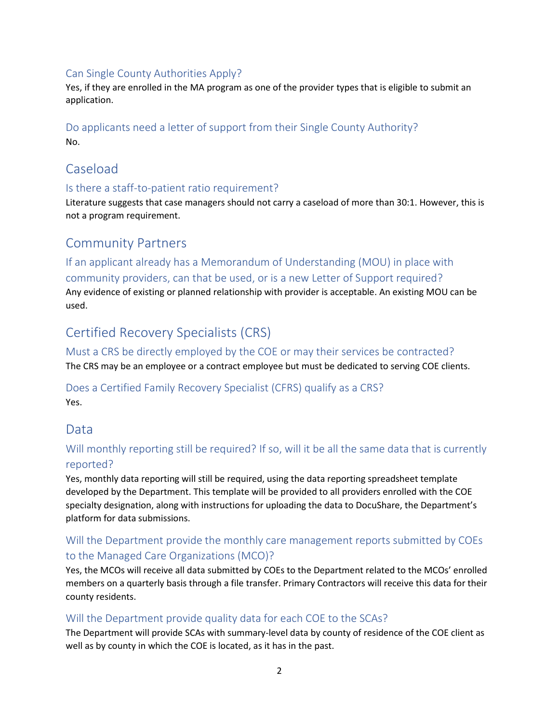#### Can Single County Authorities Apply?

Yes, if they are enrolled in the MA program as one of the provider types that is eligible to submit an application.

#### Do applicants need a letter of support from their Single County Authority? No.

## Caseload

#### Is there a staff-to-patient ratio requirement?

Literature suggests that case managers should not carry a caseload of more than 30:1. However, this is not a program requirement.

## Community Partners

If an applicant already has a Memorandum of Understanding (MOU) in place with community providers, can that be used, or is a new Letter of Support required? Any evidence of existing or planned relationship with provider is acceptable. An existing MOU can be used.

## Certified Recovery Specialists (CRS)

Must a CRS be directly employed by the COE or may their services be contracted? The CRS may be an employee or a contract employee but must be dedicated to serving COE clients.

Does a Certified Family Recovery Specialist (CFRS) qualify as a CRS? Yes.

## Data

### Will monthly reporting still be required? If so, will it be all the same data that is currently reported?

Yes, monthly data reporting will still be required, using the data reporting spreadsheet template developed by the Department. This template will be provided to all providers enrolled with the COE specialty designation, along with instructions for uploading the data to DocuShare, the Department's platform for data submissions.

#### Will the Department provide the monthly care management reports submitted by COEs to the Managed Care Organizations (MCO)?

Yes, the MCOs will receive all data submitted by COEs to the Department related to the MCOs' enrolled members on a quarterly basis through a file transfer. Primary Contractors will receive this data for their county residents.

#### Will the Department provide quality data for each COE to the SCAs?

The Department will provide SCAs with summary-level data by county of residence of the COE client as well as by county in which the COE is located, as it has in the past.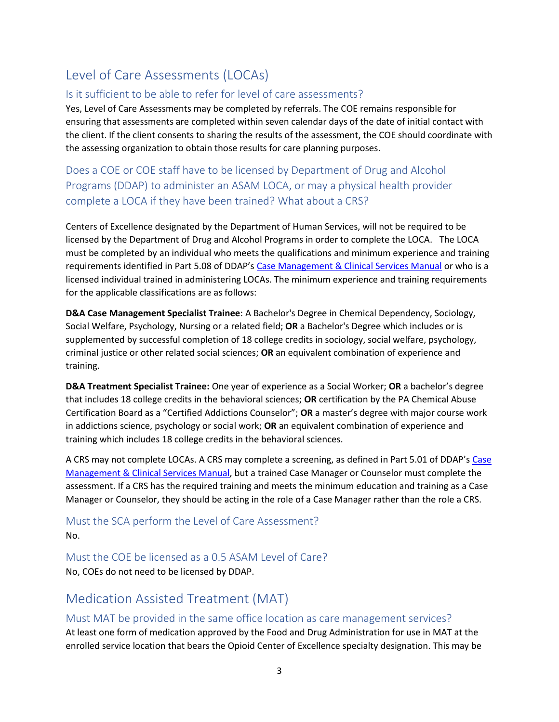# Level of Care Assessments (LOCAs)

#### Is it sufficient to be able to refer for level of care assessments?

Yes, Level of Care Assessments may be completed by referrals. The COE remains responsible for ensuring that assessments are completed within seven calendar days of the date of initial contact with the client. If the client consents to sharing the results of the assessment, the COE should coordinate with the assessing organization to obtain those results for care planning purposes.

Does a COE or COE staff have to be licensed by Department of Drug and Alcohol Programs (DDAP) to administer an ASAM LOCA, or may a physical health provider complete a LOCA if they have been trained? What about a CRS?

Centers of Excellence designated by the Department of Human Services, will not be required to be licensed by the Department of Drug and Alcohol Programs in order to complete the LOCA. The LOCA must be completed by an individual who meets the qualifications and minimum experience and training requirements identified in Part 5.08 of DDAP's [Case Management & Clinical Services Manual](https://www.ddap.pa.gov/Professionals/Documents/SCA%20Manuals%20and%20incorporated%20documents/2020-25%20Case_Mgt_and_Clinical_Srvcs_FINAL.pdf) or who is a licensed individual trained in administering LOCAs. The minimum experience and training requirements for the applicable classifications are as follows:

**D&A Case Management Specialist Trainee**: A Bachelor's Degree in Chemical Dependency, Sociology, Social Welfare, Psychology, Nursing or a related field; **OR** a Bachelor's Degree which includes or is supplemented by successful completion of 18 college credits in sociology, social welfare, psychology, criminal justice or other related social sciences; **OR** an equivalent combination of experience and training.

**D&A Treatment Specialist Trainee:** One year of experience as a Social Worker; **OR** a bachelor's degree that includes 18 college credits in the behavioral sciences; **OR** certification by the PA Chemical Abuse Certification Board as a "Certified Addictions Counselor"; **OR** a master's degree with major course work in addictions science, psychology or social work; **OR** an equivalent combination of experience and training which includes 18 college credits in the behavioral sciences.

A CRS may not complete LOCAs. A CRS may complete a screening, as defined in Part 5.01 of DDAP's [Case](https://www.ddap.pa.gov/Professionals/Documents/SCA%20Manuals%20and%20incorporated%20documents/2020-25%20Case_Mgt_and_Clinical_Srvcs_FINAL.pdf)  [Management & Clinical](https://www.ddap.pa.gov/Professionals/Documents/SCA%20Manuals%20and%20incorporated%20documents/2020-25%20Case_Mgt_and_Clinical_Srvcs_FINAL.pdf) Services Manual, but a trained Case Manager or Counselor must complete the assessment. If a CRS has the required training and meets the minimum education and training as a Case Manager or Counselor, they should be acting in the role of a Case Manager rather than the role a CRS.

Must the SCA perform the Level of Care Assessment? No.

Must the COE be licensed as a 0.5 ASAM Level of Care? No, COEs do not need to be licensed by DDAP.

## Medication Assisted Treatment (MAT)

#### Must MAT be provided in the same office location as care management services?

At least one form of medication approved by the Food and Drug Administration for use in MAT at the enrolled service location that bears the Opioid Center of Excellence specialty designation. This may be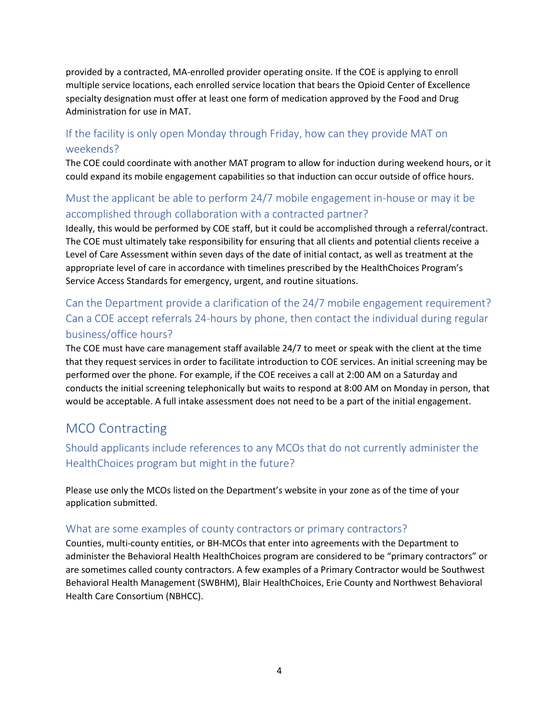provided by a contracted, MA-enrolled provider operating onsite. If the COE is applying to enroll multiple service locations, each enrolled service location that bears the Opioid Center of Excellence specialty designation must offer at least one form of medication approved by the Food and Drug Administration for use in MAT.

### If the facility is only open Monday through Friday, how can they provide MAT on weekends?

The COE could coordinate with another MAT program to allow for induction during weekend hours, or it could expand its mobile engagement capabilities so that induction can occur outside of office hours.

### Must the applicant be able to perform 24/7 mobile engagement in-house or may it be accomplished through collaboration with a contracted partner?

Ideally, this would be performed by COE staff, but it could be accomplished through a referral/contract. The COE must ultimately take responsibility for ensuring that all clients and potential clients receive a Level of Care Assessment within seven days of the date of initial contact, as well as treatment at the appropriate level of care in accordance with timelines prescribed by the HealthChoices Program's Service Access Standards for emergency, urgent, and routine situations.

### Can the Department provide a clarification of the 24/7 mobile engagement requirement? Can a COE accept referrals 24-hours by phone, then contact the individual during regular business/office hours?

The COE must have care management staff available 24/7 to meet or speak with the client at the time that they request services in order to facilitate introduction to COE services. An initial screening may be performed over the phone. For example, if the COE receives a call at 2:00 AM on a Saturday and conducts the initial screening telephonically but waits to respond at 8:00 AM on Monday in person, that would be acceptable. A full intake assessment does not need to be a part of the initial engagement.

## MCO Contracting

### Should applicants include references to any MCOs that do not currently administer the HealthChoices program but might in the future?

Please use only the MCOs listed on the Department's website in your zone as of the time of your application submitted.

#### What are some examples of county contractors or primary contractors?

Counties, multi-county entities, or BH-MCOs that enter into agreements with the Department to administer the Behavioral Health HealthChoices program are considered to be "primary contractors" or are sometimes called county contractors. A few examples of a Primary Contractor would be Southwest Behavioral Health Management (SWBHM), Blair HealthChoices, Erie County and Northwest Behavioral Health Care Consortium (NBHCC).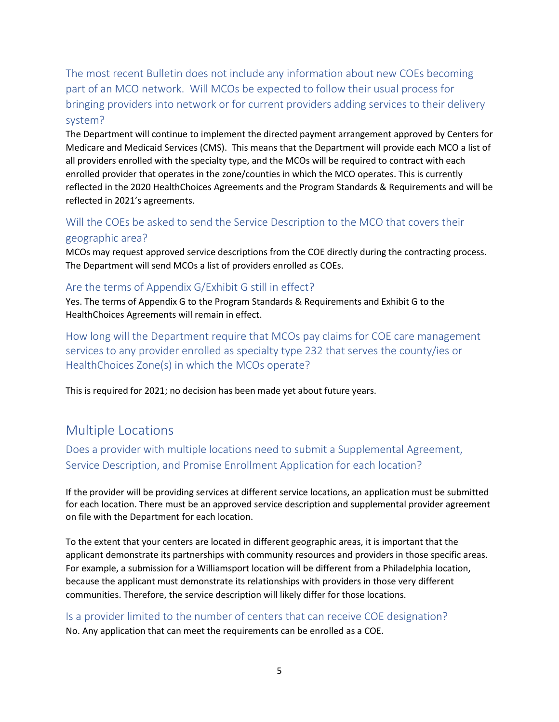The most recent Bulletin does not include any information about new COEs becoming part of an MCO network. Will MCOs be expected to follow their usual process for bringing providers into network or for current providers adding services to their delivery system?

The Department will continue to implement the directed payment arrangement approved by Centers for Medicare and Medicaid Services (CMS). This means that the Department will provide each MCO a list of all providers enrolled with the specialty type, and the MCOs will be required to contract with each enrolled provider that operates in the zone/counties in which the MCO operates. This is currently reflected in the 2020 HealthChoices Agreements and the Program Standards & Requirements and will be reflected in 2021's agreements.

#### Will the COEs be asked to send the Service Description to the MCO that covers their geographic area?

MCOs may request approved service descriptions from the COE directly during the contracting process. The Department will send MCOs a list of providers enrolled as COEs.

#### Are the terms of Appendix G/Exhibit G still in effect?

Yes. The terms of Appendix G to the Program Standards & Requirements and Exhibit G to the HealthChoices Agreements will remain in effect.

How long will the Department require that MCOs pay claims for COE care management services to any provider enrolled as specialty type 232 that serves the county/ies or HealthChoices Zone(s) in which the MCOs operate?

This is required for 2021; no decision has been made yet about future years.

## Multiple Locations

Does a provider with multiple locations need to submit a Supplemental Agreement, Service Description, and Promise Enrollment Application for each location?

If the provider will be providing services at different service locations, an application must be submitted for each location. There must be an approved service description and supplemental provider agreement on file with the Department for each location.

To the extent that your centers are located in different geographic areas, it is important that the applicant demonstrate its partnerships with community resources and providers in those specific areas. For example, a submission for a Williamsport location will be different from a Philadelphia location, because the applicant must demonstrate its relationships with providers in those very different communities. Therefore, the service description will likely differ for those locations.

Is a provider limited to the number of centers that can receive COE designation? No. Any application that can meet the requirements can be enrolled as a COE.